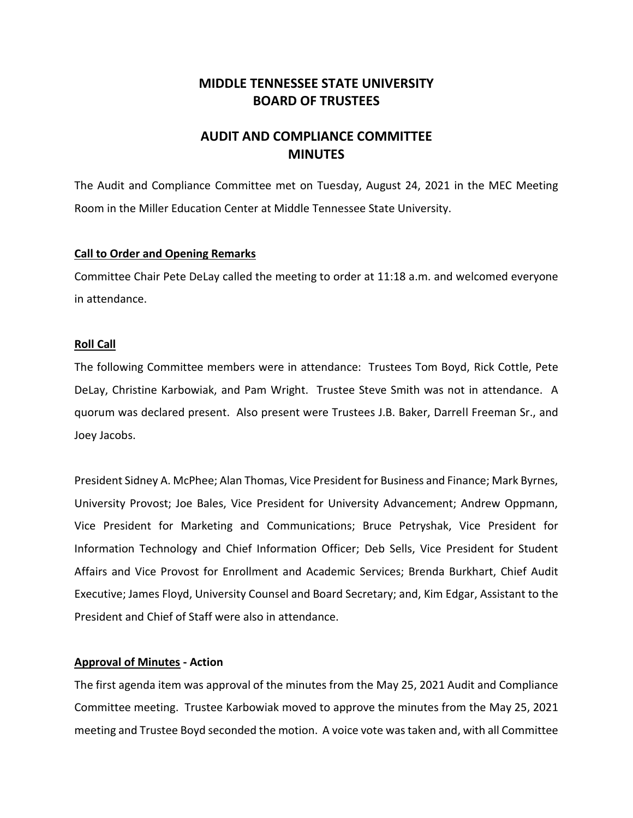# **MIDDLE TENNESSEE STATE UNIVERSITY BOARD OF TRUSTEES**

# **AUDIT AND COMPLIANCE COMMITTEE MINUTES**

The Audit and Compliance Committee met on Tuesday, August 24, 2021 in the MEC Meeting Room in the Miller Education Center at Middle Tennessee State University.

### **Call to Order and Opening Remarks**

Committee Chair Pete DeLay called the meeting to order at 11:18 a.m. and welcomed everyone in attendance.

### **Roll Call**

The following Committee members were in attendance: Trustees Tom Boyd, Rick Cottle, Pete DeLay, Christine Karbowiak, and Pam Wright. Trustee Steve Smith was not in attendance. A quorum was declared present. Also present were Trustees J.B. Baker, Darrell Freeman Sr., and Joey Jacobs.

President Sidney A. McPhee; Alan Thomas, Vice President for Business and Finance; Mark Byrnes, University Provost; Joe Bales, Vice President for University Advancement; Andrew Oppmann, Vice President for Marketing and Communications; Bruce Petryshak, Vice President for Information Technology and Chief Information Officer; Deb Sells, Vice President for Student Affairs and Vice Provost for Enrollment and Academic Services; Brenda Burkhart, Chief Audit Executive; James Floyd, University Counsel and Board Secretary; and, Kim Edgar, Assistant to the President and Chief of Staff were also in attendance.

## **Approval of Minutes - Action**

The first agenda item was approval of the minutes from the May 25, 2021 Audit and Compliance Committee meeting. Trustee Karbowiak moved to approve the minutes from the May 25, 2021 meeting and Trustee Boyd seconded the motion. A voice vote was taken and, with all Committee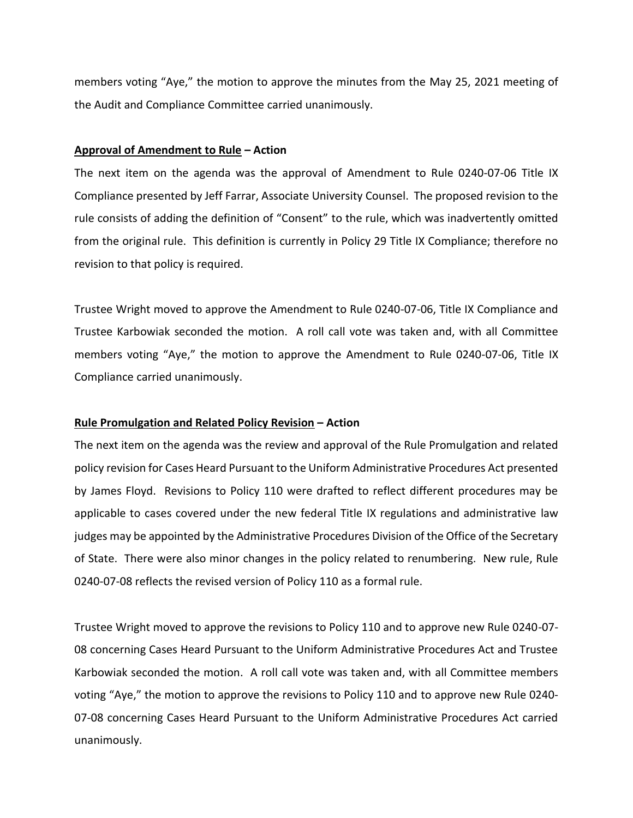members voting "Aye," the motion to approve the minutes from the May 25, 2021 meeting of the Audit and Compliance Committee carried unanimously.

#### **Approval of Amendment to Rule – Action**

The next item on the agenda was the approval of Amendment to Rule 0240-07-06 Title IX Compliance presented by Jeff Farrar, Associate University Counsel. The proposed revision to the rule consists of adding the definition of "Consent" to the rule, which was inadvertently omitted from the original rule. This definition is currently in Policy 29 Title IX Compliance; therefore no revision to that policy is required.

Trustee Wright moved to approve the Amendment to Rule 0240-07-06, Title IX Compliance and Trustee Karbowiak seconded the motion. A roll call vote was taken and, with all Committee members voting "Aye," the motion to approve the Amendment to Rule 0240-07-06, Title IX Compliance carried unanimously.

## **Rule Promulgation and Related Policy Revision – Action**

The next item on the agenda was the review and approval of the Rule Promulgation and related policy revision for Cases Heard Pursuant to the Uniform Administrative Procedures Act presented by James Floyd. Revisions to Policy 110 were drafted to reflect different procedures may be applicable to cases covered under the new federal Title IX regulations and administrative law judges may be appointed by the Administrative Procedures Division of the Office of the Secretary of State. There were also minor changes in the policy related to renumbering. New rule, Rule 0240-07-08 reflects the revised version of Policy 110 as a formal rule.

Trustee Wright moved to approve the revisions to Policy 110 and to approve new Rule 0240-07- 08 concerning Cases Heard Pursuant to the Uniform Administrative Procedures Act and Trustee Karbowiak seconded the motion. A roll call vote was taken and, with all Committee members voting "Aye," the motion to approve the revisions to Policy 110 and to approve new Rule 0240- 07-08 concerning Cases Heard Pursuant to the Uniform Administrative Procedures Act carried unanimously.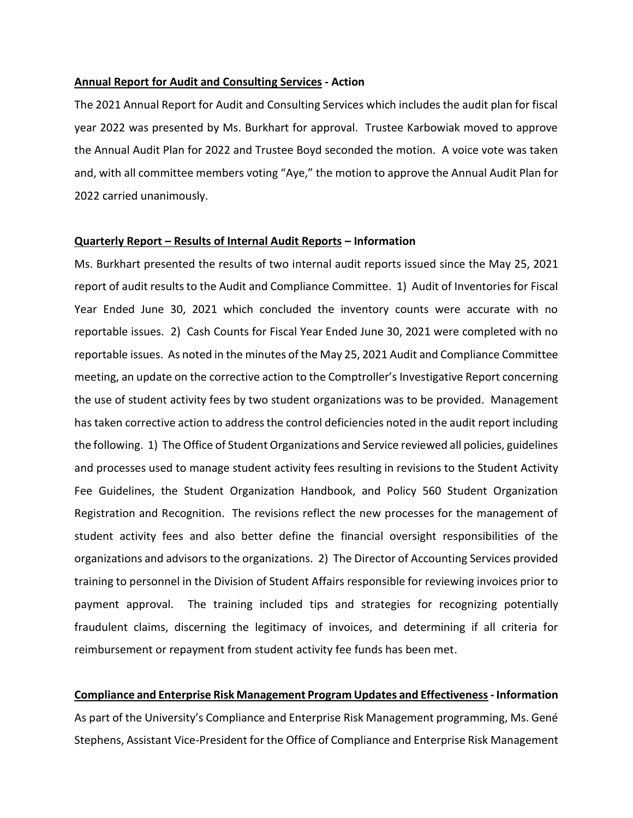#### **Annual Report for Audit and Consulting Services - Action**

The 2021 Annual Report for Audit and Consulting Services which includes the audit plan for fiscal year 2022 was presented by Ms. Burkhart for approval. Trustee Karbowiak moved to approve the Annual Audit Plan for 2022 and Trustee Boyd seconded the motion. A voice vote was taken and, with all committee members voting "Aye," the motion to approve the Annual Audit Plan for 2022 carried unanimously.

### **Quarterly Report – Results of Internal Audit Reports – Information**

Ms. Burkhart presented the results of two internal audit reports issued since the May 25, 2021 report of audit results to the Audit and Compliance Committee. 1) Audit of Inventories for Fiscal Year Ended June 30, 2021 which concluded the inventory counts were accurate with no reportable issues. 2) Cash Counts for Fiscal Year Ended June 30, 2021 were completed with no reportable issues. As noted in the minutes of the May 25, 2021 Audit and Compliance Committee meeting, an update on the corrective action to the Comptroller's Investigative Report concerning the use of student activity fees by two student organizations was to be provided. Management has taken corrective action to address the control deficiencies noted in the audit report including the following. 1) The Office of Student Organizations and Service reviewed all policies, guidelines and processes used to manage student activity fees resulting in revisions to the Student Activity Fee Guidelines, the Student Organization Handbook, and Policy 560 Student Organization Registration and Recognition. The revisions reflect the new processes for the management of student activity fees and also better define the financial oversight responsibilities of the organizations and advisors to the organizations. 2) The Director of Accounting Services provided training to personnel in the Division of Student Affairs responsible for reviewing invoices prior to payment approval. The training included tips and strategies for recognizing potentially fraudulent claims, discerning the legitimacy of invoices, and determining if all criteria for reimbursement or repayment from student activity fee funds has been met.

# **Compliance and Enterprise Risk Management Program Updates and Effectiveness- Information** As part of the University's Compliance and Enterprise Risk Management programming, Ms. Gené Stephens, Assistant Vice-President for the Office of Compliance and Enterprise Risk Management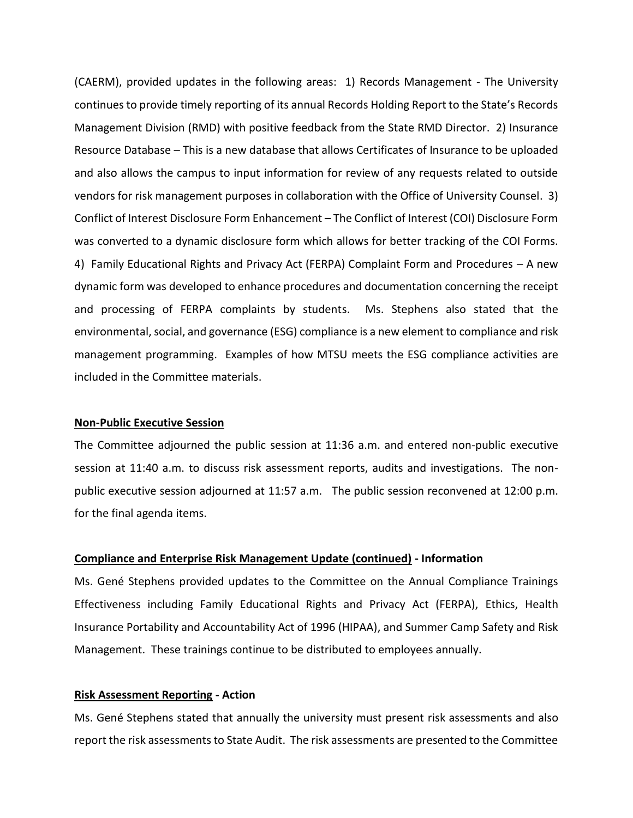(CAERM), provided updates in the following areas: 1) Records Management - The University continues to provide timely reporting of its annual Records Holding Report to the State's Records Management Division (RMD) with positive feedback from the State RMD Director. 2) Insurance Resource Database – This is a new database that allows Certificates of Insurance to be uploaded and also allows the campus to input information for review of any requests related to outside vendors for risk management purposes in collaboration with the Office of University Counsel. 3) Conflict of Interest Disclosure Form Enhancement – The Conflict of Interest (COI) Disclosure Form was converted to a dynamic disclosure form which allows for better tracking of the COI Forms. 4) Family Educational Rights and Privacy Act (FERPA) Complaint Form and Procedures – A new dynamic form was developed to enhance procedures and documentation concerning the receipt and processing of FERPA complaints by students. Ms. Stephens also stated that the environmental, social, and governance (ESG) compliance is a new element to compliance and risk management programming. Examples of how MTSU meets the ESG compliance activities are included in the Committee materials.

#### **Non-Public Executive Session**

The Committee adjourned the public session at 11:36 a.m. and entered non-public executive session at 11:40 a.m. to discuss risk assessment reports, audits and investigations. The nonpublic executive session adjourned at 11:57 a.m. The public session reconvened at 12:00 p.m. for the final agenda items.

#### **Compliance and Enterprise Risk Management Update (continued) - Information**

Ms. Gené Stephens provided updates to the Committee on the Annual Compliance Trainings Effectiveness including Family Educational Rights and Privacy Act (FERPA), Ethics, Health Insurance Portability and Accountability Act of 1996 (HIPAA), and Summer Camp Safety and Risk Management. These trainings continue to be distributed to employees annually.

#### **Risk Assessment Reporting - Action**

Ms. Gené Stephens stated that annually the university must present risk assessments and also report the risk assessments to State Audit. The risk assessments are presented to the Committee